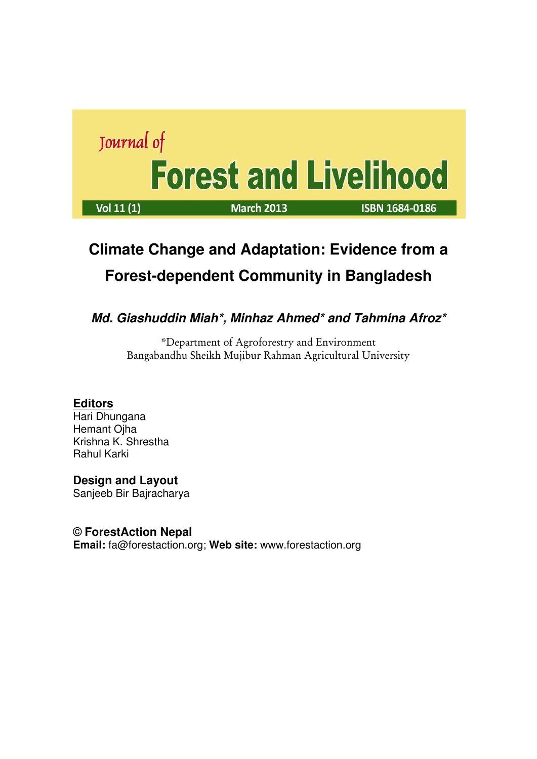

# **Climate Change and Adaptation: Evidence from a Forest-dependent Community in Bangladesh**

## **Md. Giashuddin Miah\*, Minhaz Ahmed\* and Tahmina Afroz\***

\*Department of Agroforestry and Environment Bangabandhu Sheikh Mujibur Rahman Agricultural University

## **Editors**

Hari Dhungana Hemant Ojha Krishna K. Shrestha Rahul Karki

**Design and Layout** Sanjeeb Bir Bajracharya

© **ForestAction Nepal Email:** fa@forestaction.org; **Web site:** www.forestaction.org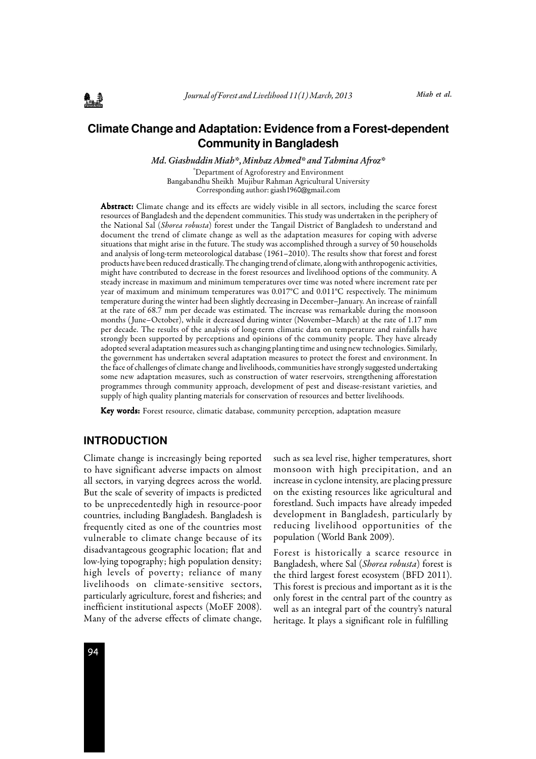## **Climate Change and Adaptation: Evidence from a Forest-dependent Community in Bangladesh**

*Md. Giashuddin Miah\*, Minhaz Ahmed\* and Tahmina Afroz\**

\*Department of Agroforestry and Environment Bangabandhu Sheikh Mujibur Rahman Agricultural University Corresponding author: giash1960@gmail.com

Abstract: Climate change and its effects are widely visible in all sectors, including the scarce forest resources of Bangladesh and the dependent communities. This study was undertaken in the periphery of the National Sal (Shorea robusta) forest under the Tangail District of Bangladesh to understand and document the trend of climate change as well as the adaptation measures for coping with adverse situations that might arise in the future. The study was accomplished through a survey of 50 households and analysis of long-term meteorological database (1961–2010). The results show that forest and forest products have been reduced drastically. The changing trend of climate, along with anthropogenic activities, might have contributed to decrease in the forest resources and livelihood options of the community. A steady increase in maximum and minimum temperatures over time was noted where increment rate per year of maximum and minimum temperatures was 0.017°C and 0.011°C respectively. The minimum temperature during the winter had been slightly decreasing in December–January. An increase of rainfall at the rate of 68.7 mm per decade was estimated. The increase was remarkable during the monsoon months (June–October), while it decreased during winter (November–March) at the rate of 1.17 mm per decade. The results of the analysis of long-term climatic data on temperature and rainfalls have strongly been supported by perceptions and opinions of the community people. They have already adopted several adaptation measures such as changing planting time and using new technologies. Similarly, the government has undertaken several adaptation measures to protect the forest and environment. In the face of challenges of climate change and livelihoods, communities have strongly suggested undertaking some new adaptation measures, such as construction of water reservoirs, strengthening afforestation programmes through community approach, development of pest and disease-resistant varieties, and supply of high quality planting materials for conservation of resources and better livelihoods.

Key words: Forest resource, climatic database, community perception, adaptation measure

#### **INTRODUCTION**

Climate change is increasingly being reported to have significant adverse impacts on almost all sectors, in varying degrees across the world. But the scale of severity of impacts is predicted to be unprecedentedly high in resource-poor countries, including Bangladesh. Bangladesh is frequently cited as one of the countries most vulnerable to climate change because of its disadvantageous geographic location; flat and low-lying topography; high population density; high levels of poverty; reliance of many livelihoods on climate-sensitive sectors, particularly agriculture, forest and fisheries; and inefficient institutional aspects (MoEF 2008). Many of the adverse effects of climate change,

such as sea level rise, higher temperatures, short monsoon with high precipitation, and an increase in cyclone intensity, are placing pressure on the existing resources like agricultural and forestland. Such impacts have already impeded development in Bangladesh, particularly by reducing livelihood opportunities of the population (World Bank 2009).

Forest is historically a scarce resource in Bangladesh, where Sal (Shorea robusta) forest is the third largest forest ecosystem (BFD 2011). This forest is precious and important as it is the only forest in the central part of the country as well as an integral part of the country's natural heritage. It plays a significant role in fulfilling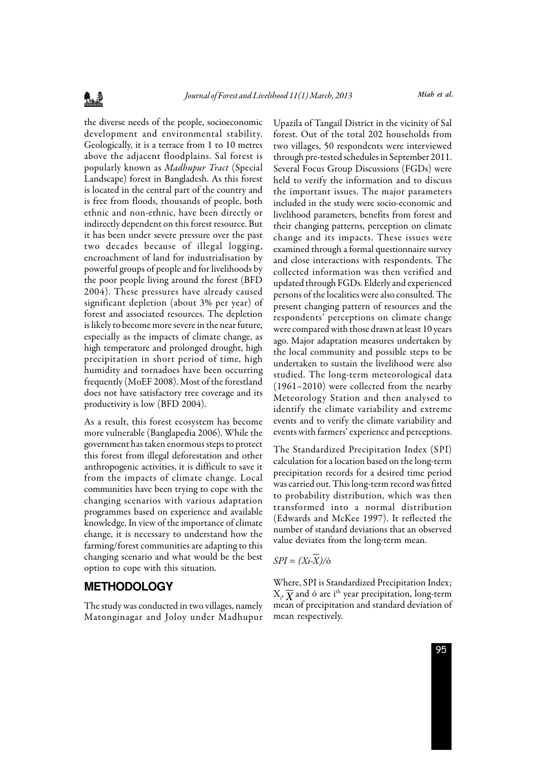the diverse needs of the people, socioeconomic development and environmental stability. Geologically, it is a terrace from 1 to 10 metres above the adjacent floodplains. Sal forest is popularly known as Madhupur Tract (Special Landscape) forest in Bangladesh. As this forest is located in the central part of the country and is free from floods, thousands of people, both ethnic and non-ethnic, have been directly or indirectly dependent on this forest resource. But it has been under severe pressure over the past two decades because of illegal logging, encroachment of land for industrialisation by powerful groups of people and for livelihoods by the poor people living around the forest (BFD 2004). These pressures have already caused significant depletion (about 3% per year) of forest and associated resources. The depletion is likely to become more severe in the near future, especially as the impacts of climate change, as high temperature and prolonged drought, high precipitation in short period of time, high humidity and tornadoes have been occurring frequently (MoEF 2008). Most of the forestland does not have satisfactory tree coverage and its productivity is low (BFD 2004).

1.2

As a result, this forest ecosystem has become more vulnerable (Banglapedia 2006). While the government has taken enormous steps to protect this forest from illegal deforestation and other anthropogenic activities, it is difficult to save it from the impacts of climate change. Local communities have been trying to cope with the changing scenarios with various adaptation programmes based on experience and available knowledge. In view of the importance of climate change, it is necessary to understand how the farming/forest communities are adapting to this changing scenario and what would be the best option to cope with this situation.

## **METHODOLOGY**

The study was conducted in two villages, namely Matonginagar and Joloy under Madhupur Upazila of Tangail District in the vicinity of Sal forest. Out of the total 202 households from two villages, 50 respondents were interviewed through pre-tested schedules in September 2011. Several Focus Group Discussions (FGDs) were held to verify the information and to discuss the important issues. The major parameters included in the study were socio-economic and livelihood parameters, benefits from forest and their changing patterns, perception on climate change and its impacts. These issues were examined through a formal questionnaire survey and close interactions with respondents. The collected information was then verified and updated through FGDs. Elderly and experienced persons of the localities were also consulted. The present changing pattern of resources and the respondents' perceptions on climate change were compared with those drawn at least 10 years ago. Major adaptation measures undertaken by the local community and possible steps to be undertaken to sustain the livelihood were also studied. The long-term meteorological data (1961–2010) were collected from the nearby Meteorology Station and then analysed to identify the climate variability and extreme events and to verify the climate variability and events with farmers' experience and perceptions.

The Standardized Precipitation Index (SPI) calculation for a location based on the long-term precipitation records for a desired time period was carried out. This long-term record was fitted to probability distribution, which was then transformed into a normal distribution (Edwards and McKee 1997). It reflected the number of standard deviations that an observed value deviates from the long-term mean.

$$
SPI = (Xi-X)/6
$$

Where, SPI is Standardized Precipitation Index;  $X_{\alpha}$ ,  $\overline{X}$  and 6 are i<sup>th</sup> year precipitation, long-term mean of precipitation and standard deviation of mean respectively.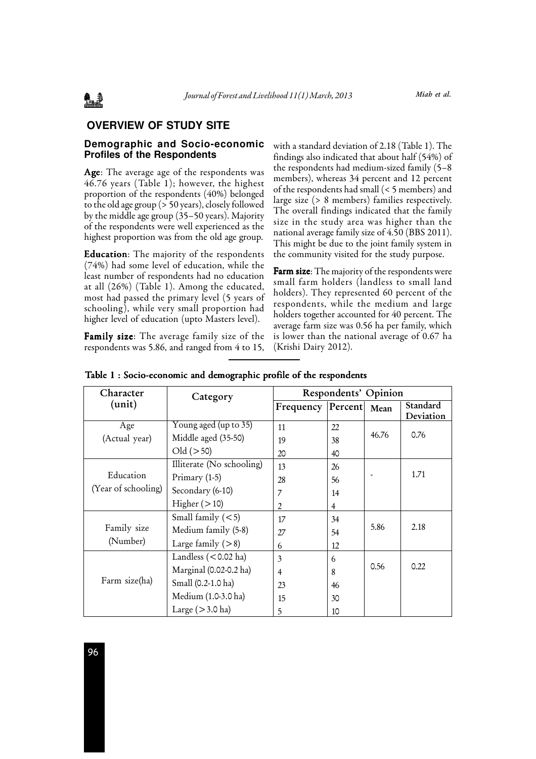### **OVERVIEW OF STUDY SITE**

#### **Demographic and Socio-economic Profiles of the Respondents**

Age: The average age of the respondents was 46.76 years (Table 1); however, the highest proportion of the respondents (40%) belonged to the old age group (> 50 years), closely followed by the middle age group (35–50 years). Majority of the respondents were well experienced as the highest proportion was from the old age group.

Education: The majority of the respondents (74%) had some level of education, while the least number of respondents had no education at all (26%) (Table 1). Among the educated, most had passed the primary level (5 years of schooling), while very small proportion had higher level of education (upto Masters level).

Family size: The average family size of the respondents was 5.86, and ranged from 4 to 15, with a standard deviation of 2.18 (Table 1). The findings also indicated that about half (54%) of the respondents had medium-sized family (5–8 members), whereas 34 percent and 12 percent of the respondents had small (< 5 members) and large size (> 8 members) families respectively. The overall findings indicated that the family size in the study area was higher than the national average family size of 4.50 (BBS 2011). This might be due to the joint family system in the community visited for the study purpose.

Farm size: The majority of the respondents were small farm holders (landless to small land holders). They represented 60 percent of the respondents, while the medium and large holders together accounted for 40 percent. The average farm size was 0.56 ha per family, which is lower than the national average of 0.67 ha (Krishi Dairy 2012).

| Character                        | Category                  | Respondents' Opinion |                |       |                       |
|----------------------------------|---------------------------|----------------------|----------------|-------|-----------------------|
| (unit)                           |                           | Frequency   Percent  |                | Mean  | Standard<br>Deviation |
| Age                              | Young aged (up to 35)     | 11                   | 22             |       |                       |
| (Actual year)                    | Middle aged (35-50)       | 19                   | 38             | 46.76 | 0.76                  |
|                                  | Old (> 50)                | 20                   | 40             |       |                       |
|                                  | Illiterate (No schooling) | 13                   | 26             |       |                       |
| Education<br>(Year of schooling) | Primary $(1-5)$           | 28                   | 56             |       | 1.71                  |
|                                  | Secondary (6-10)          | 7                    | 14             |       |                       |
|                                  | Higher $(>10)$            | $\overline{2}$       | $\overline{4}$ |       |                       |
|                                  | Small family $(<5)$       | 17                   | 34             |       |                       |
| Family size                      | Medium family (5-8)       | 27                   | 54             | 5.86  | 2.18                  |
| (Number)                         | Large family $( > 8)$     | 6                    | 12             |       |                       |
|                                  | Landless $(< 0.02$ ha)    | 3                    | 6              |       |                       |
| Farm size(ha)                    | Marginal (0.02-0.2 ha)    | $\overline{4}$       | 8              | 0.56  | 0.22                  |
|                                  | Small (0.2-1.0 ha)        | 23                   | 46             |       |                       |
|                                  | Medium (1.0-3.0 ha)       | 15                   | 30             |       |                       |
|                                  | Large $(>3.0 \text{ ha})$ | 5                    | 10             |       |                       |

Table 1 : Socio-economic and demographic profile of the respondents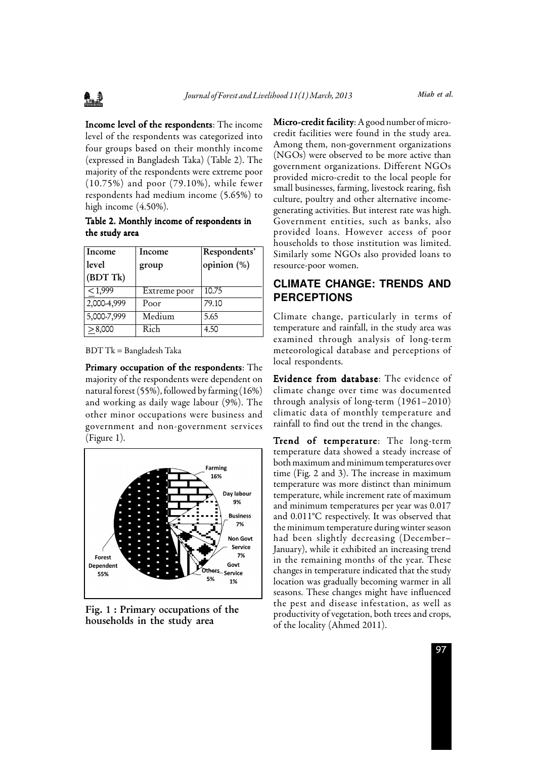Income level of the respondents: The income level of the respondents was categorized into four groups based on their monthly income (expressed in Bangladesh Taka) (Table 2). The majority of the respondents were extreme poor (10.75%) and poor (79.10%), while fewer respondents had medium income (5.65%) to high income (4.50%).

#### Table 2. Monthly income of respondents in the study area

| Income<br>level  | Income       | Respondents' |
|------------------|--------------|--------------|
|                  | group        | opinion (%)  |
| (BDT Tk)         |              |              |
| $<\frac{1}{999}$ | Extreme poor | 10.75        |
| 2,000-4,999      | Poor         | 79.10        |
| 5,000-7,999      | Medium       | 5.65         |
| > 8,000          | Rich         | 4.50         |

BDT Tk = Bangladesh Taka

Primary occupation of the respondents: The majority of the respondents were dependent on natural forest (55%), followed by farming (16%) and working as daily wage labour (9%). The other minor occupations were business and government and non-government services (Figure 1).



**Fig. 1 : Primary occupations of the households in the study area**

Micro-credit facility: A good number of microcredit facilities were found in the study area. Among them, non-government organizations (NGOs) were observed to be more active than government organizations. Different NGOs provided micro-credit to the local people for small businesses, farming, livestock rearing, fish culture, poultry and other alternative incomegenerating activities. But interest rate was high. Government entities, such as banks, also provided loans. However access of poor households to those institution was limited. Similarly some NGOs also provided loans to resource-poor women.

## **CLIMATE CHANGE: TRENDS AND PERCEPTIONS**

Climate change, particularly in terms of temperature and rainfall, in the study area was examined through analysis of long-term meteorological database and perceptions of local respondents.

Evidence from database: The evidence of climate change over time was documented through analysis of long-term (1961–2010) climatic data of monthly temperature and rainfall to find out the trend in the changes.

Trend of temperature: The long-term temperature data showed a steady increase of both maximum and minimum temperatures over time (Fig. 2 and 3). The increase in maximum temperature was more distinct than minimum temperature, while increment rate of maximum and minimum temperatures per year was 0.017 and 0.011°C respectively. It was observed that the minimum temperature during winter season had been slightly decreasing (December– January), while it exhibited an increasing trend in the remaining months of the year. These changes in temperature indicated that the study location was gradually becoming warmer in all seasons. These changes might have influenced the pest and disease infestation, as well as productivity of vegetation, both trees and crops, of the locality (Ahmed 2011).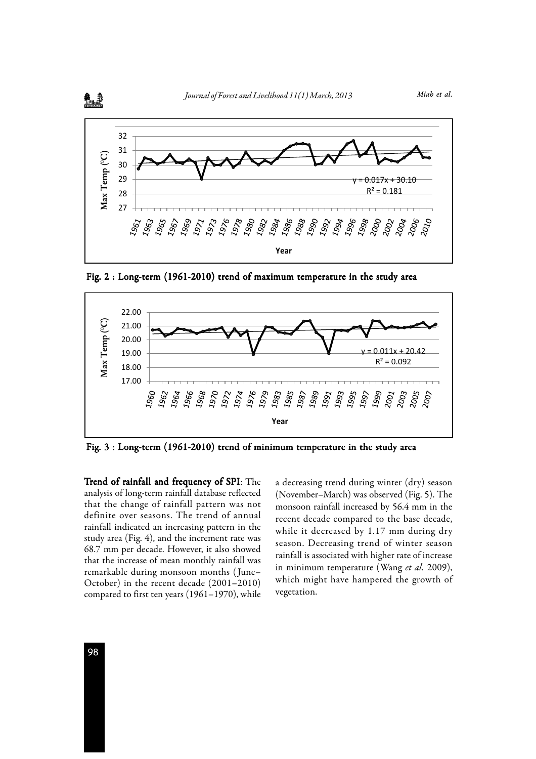

Fig. 2 : Long-term (1961-2010) trend of maximum temperature in the study area



Fig. 3 : Long-term (1961-2010) trend of minimum temperature in the study area

Trend of rainfall and frequency of SPI: The analysis of long-term rainfall database reflected that the change of rainfall pattern was not definite over seasons. The trend of annual rainfall indicated an increasing pattern in the study area (Fig. 4), and the increment rate was  $(2.7 \times 10^{-14} \text{ J})$ 68.7 mm per decade. However, it also showed that the increase of mean monthly rainfall was remarkable during monsoon months (June– October) in the recent decade (2001–2010) compared to first ten years (1961–1970), while **d**<br>sis<br>th<br>nit اب<br>۱۰ nd of rair **l o**<br>is<br>ite indic  $\overline{2}$ . ysi<br>ct<br>ni<br>fal

a decreasing trend during winter (dry) season (November–March) was observed (Fig. 5). The  $m$ onsoon rainfall increased by 56.4  $\,$ mm in the  $\,$ recent decade compared to the base decade, while it decreased by 1.17 mm during dry season. Decreasing trend of winter season rainfall is associated with higher rate of increase in minimum temperature (Wang et al. 2009), which might have hampered the growth of vegetation.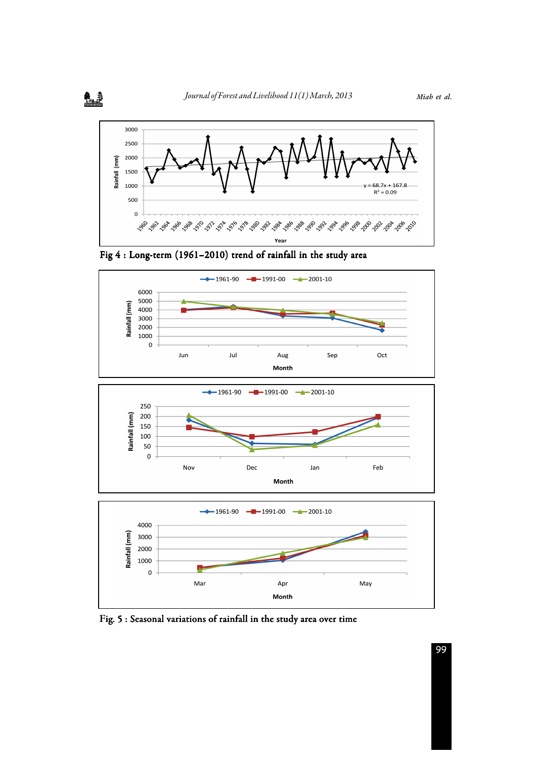









**F**ig. 5 : Seasonal variations of rainfall in the study area over time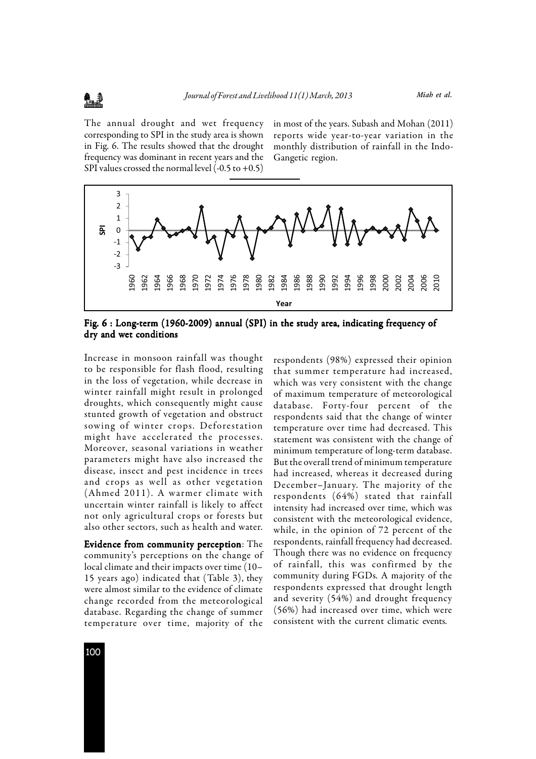The annual drought and wet frequency corresponding to SPI in the study area is shown in Fig. 6. The results showed that the drought frequency was dominant in recent years and the SPI values crossed the normal level  $(-0.5 \text{ to } +0.5)$ 

▙ै

in most of the years. Subash and Mohan (2011) reports wide year-to-year variation in the monthly distribution of rainfall in the Indo-Gangetic region.



Fig. 6 : Long-term (1960-2009) annual (SPI) in the study area, indicating frequency of dry and wet conditions

Increase in monsoon rainfall was thought to be responsible for flash flood, resulting in the loss of vegetation, while decrease in winter rainfall might result in prolonged droughts, which consequently might cause stunted growth of vegetation and obstruct sowing of winter crops. Deforestation might have accelerated the processes. Moreover, seasonal variations in weather parameters might have also increased the disease, insect and pest incidence in trees and crops as well as other vegetation (Ahmed 2011). A warmer climate with uncertain winter rainfall is likely to affect not only agricultural crops or forests but also other sectors, such as health and water.

Evidence from community perception: The community's perceptions on the change of local climate and their impacts over time (10– 15 years ago) indicated that (Table 3), they were almost similar to the evidence of climate change recorded from the meteorological database. Regarding the change of summer temperature over time, majority of the

respondents (98%) expressed their opinion that summer temperature had increased, which was very consistent with the change of maximum temperature of meteorological database. Forty-four percent of the respondents said that the change of winter temperature over time had decreased. This statement was consistent with the change of minimum temperature of long-term database. But the overall trend of minimum temperature had increased, whereas it decreased during December–January. The majority of the respondents (64%) stated that rainfall intensity had increased over time, which was consistent with the meteorological evidence, while, in the opinion of 72 percent of the respondents, rainfall frequency had decreased. Though there was no evidence on frequency of rainfall, this was confirmed by the community during FGDs. A majority of the respondents expressed that drought length and severity (54%) and drought frequency (56%) had increased over time, which were consistent with the current climatic events.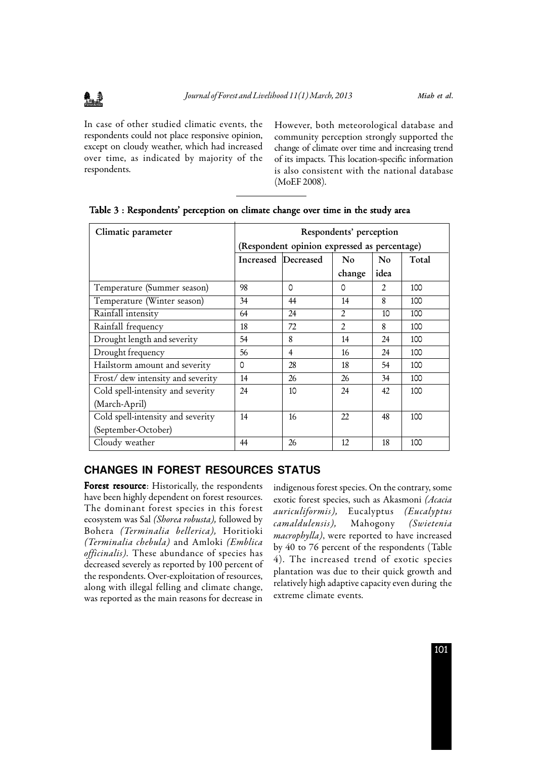In case of other studied climatic events, the respondents could not place responsive opinion, except on cloudy weather, which had increased over time, as indicated by majority of the respondents.

4. }

However, both meteorological database and community perception strongly supported the change of climate over time and increasing trend of its impacts. This location-specific information is also consistent with the national database (MoEF 2008).

| Climatic parameter                | Respondents' perception                      |                     |                |                |       |
|-----------------------------------|----------------------------------------------|---------------------|----------------|----------------|-------|
|                                   | (Respondent opinion expressed as percentage) |                     |                |                |       |
|                                   |                                              | Increased Decreased | <b>No</b>      | N <sub>0</sub> | Total |
|                                   |                                              |                     | change         | idea           |       |
| Temperature (Summer season)       | 98                                           | 0                   | $\Omega$       | $\mathfrak{D}$ | 100   |
| Temperature (Winter season)       | 34                                           | 44                  | 14             | 8              | 100   |
| Rainfall intensity                | 64                                           | 24                  | $\overline{2}$ | 10             | 100   |
| Rainfall frequency                | 18                                           | 72                  | $\overline{2}$ | 8              | 100   |
| Drought length and severity       | 54                                           | 8                   | 14             | 24             | 100   |
| Drought frequency                 | 56                                           | $\overline{4}$      | 16             | 24             | 100   |
| Hailstorm amount and severity     | 0                                            | 28                  | 18             | 54             | 100   |
| Frost/dew intensity and severity  | 14                                           | 26                  | 26             | 34             | 100   |
| Cold spell-intensity and severity | 24                                           | 10                  | 24             | 42             | 100   |
| (March-April)                     |                                              |                     |                |                |       |
| Cold spell-intensity and severity | 14                                           | 16                  | 22             | 48             | 100   |
| (September-October)               |                                              |                     |                |                |       |
| Cloudy weather                    | 44                                           | 26                  | 12             | 18             | 100   |

| Table 3 : Respondents' perception on climate change over time in the study area |  |  |  |  |
|---------------------------------------------------------------------------------|--|--|--|--|
|                                                                                 |  |  |  |  |

#### **CHANGES IN FOREST RESOURCES STATUS**

Forest resource: Historically, the respondents have been highly dependent on forest resources. The dominant forest species in this forest ecosystem was Sal (Shorea robusta), followed by Bohera (Terminalia bellerica), Horitioki (Terminalia chebula) and Amloki (Emblica officinalis). These abundance of species has decreased severely as reported by 100 percent of the respondents. Over-exploitation of resources, along with illegal felling and climate change, was reported as the main reasons for decrease in

indigenous forest species. On the contrary, some exotic forest species, such as Akasmoni (Acacia auriculiformis), Eucalyptus (Eucalyptus camaldulensis), Mahogony (Swietenia macrophylla), were reported to have increased by 40 to 76 percent of the respondents (Table 4). The increased trend of exotic species plantation was due to their quick growth and relatively high adaptive capacity even during the extreme climate events.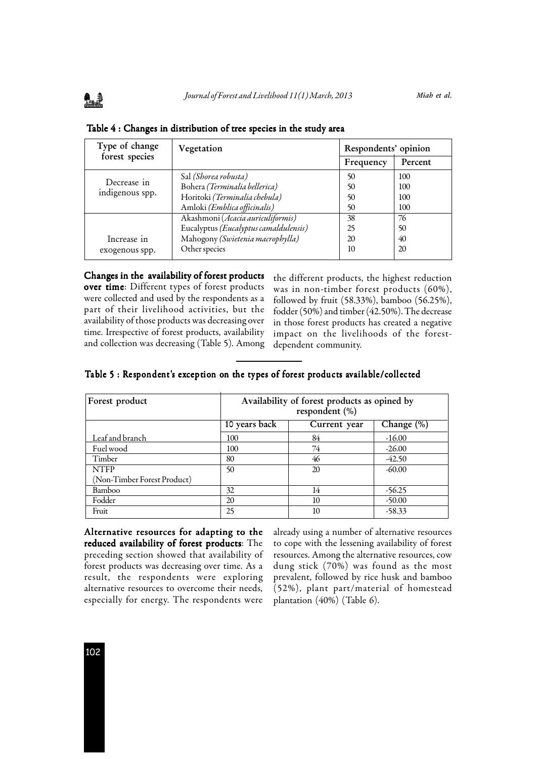| Type of change                 | Vegetation                            |           | Respondents' opinion |
|--------------------------------|---------------------------------------|-----------|----------------------|
| forest species                 |                                       | Frequency | Percent              |
|                                | Sal (Shorea robusta)                  | 50        | 100                  |
| Decrease in<br>indigenous spp. | Bohera (Terminalia bellerica)         | 50        | 100                  |
|                                | Horitoki (Terminalia chebula)         | 50        | 100                  |
|                                | Amloki (Emblica officinalis)          | 50        | 100                  |
|                                | Akashmoni (Acacia auriculiformis)     | 38        | 76                   |
|                                | Eucalyptus (Eucalyptus camaldulensis) | 25        | 50                   |
| Increase in                    | Mahogony (Swietenia macrophylla)      | 20        | 40                   |
| exogenous spp.                 | Other species                         | 10        | 20                   |

Table 4 : Changes in distribution of tree species in the study area

Changes in the availability of forest products over time: Different types of forest products were collected and used by the respondents as a part of their livelihood activities, but the availability of those products was decreasing over time. Irrespective of forest products, availability and collection was decreasing (Table 5). Among

the different products, the highest reduction was in non-timber forest products (60%), followed by fruit (58.33%), bamboo (56.25%), fodder (50%) and timber (42.50%). The decrease in those forest products has created a negative impact on the livelihoods of the forestdependent community.

| Forest product              | Availability of forest products as opined by<br>respondent (%) |              |               |  |  |
|-----------------------------|----------------------------------------------------------------|--------------|---------------|--|--|
|                             | 10 years back                                                  | Current year | Change $(\%)$ |  |  |
| Leaf and branch             | 100                                                            | 84           | $-16.00$      |  |  |
| Fuel wood                   | 100                                                            | 74           | $-26.00$      |  |  |
| Timber                      | 80                                                             | 46           | $-42.50$      |  |  |
| <b>NTFP</b>                 | 50                                                             | 20           | $-60.00$      |  |  |
| (Non-Timber Forest Product) |                                                                |              |               |  |  |
| Bamboo                      | 32                                                             | 14           | $-56.25$      |  |  |
| Fodder                      | 20                                                             | 10           | $-50.00$      |  |  |
| Fruit                       | 25                                                             | 10           | $-58.33$      |  |  |

Table 5 : Respondent's exception on the types of forest products available/collected

Alternative resources for adapting to the reduced availability of forest products: The preceding section showed that availability of forest products was decreasing over time. As a result, the respondents were exploring alternative resources to overcome their needs, especially for energy. The respondents were

already using a number of alternative resources to cope with the lessening availability of forest resources. Among the alternative resources, cow dung stick (70%) was found as the most prevalent, followed by rice husk and bamboo (52%), plant part/material of homestead plantation (40%) (Table 6).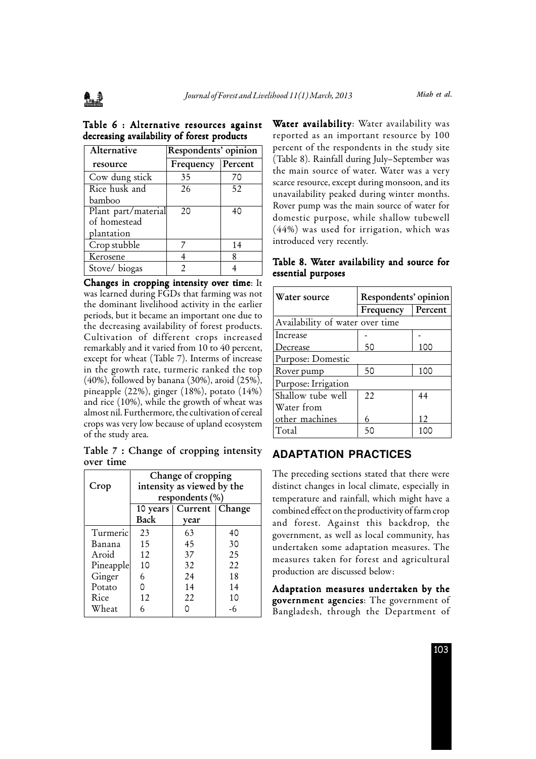| Alternative         | Respondents' opinion |         |
|---------------------|----------------------|---------|
| resource            | Frequency            | Percent |
| Cow dung stick      | 35                   | 70      |
| Rice husk and       | 26                   | 52      |
| bamboo              |                      |         |
| Plant part/material | 20                   | 40      |
| of homestead        |                      |         |
| plantation          |                      |         |
| Crop stubble        |                      | 14      |
| Kerosene            |                      | 8       |
| Stove/biogas        |                      |         |

Table 6 : Alternative resources against decreasing availability of forest products

Changes in cropping intensity over time: It was learned during FGDs that farming was not the dominant livelihood activity in the earlier periods, but it became an important one due to the decreasing availability of forest products. Cultivation of different crops increased remarkably and it varied from 10 to 40 percent, except for wheat (Table 7). Interms of increase in the growth rate, turmeric ranked the top (40%), followed by banana (30%), aroid (25%), pineapple (22%), ginger (18%), potato (14%) and rice (10%), while the growth of wheat was almost nil. Furthermore, the cultivation of cereal crops was very low because of upland ecosystem of the study area.

**Table 7 : Change of cropping intensity over time**

| Crop      | Change of cropping<br>intensity as viewed by the<br>respondents (%) |                  |    |  |  |
|-----------|---------------------------------------------------------------------|------------------|----|--|--|
|           | 10 years $ $                                                        | Current   Change |    |  |  |
|           | Back                                                                | vear             |    |  |  |
| Turmeric  | 23                                                                  | 63               | 40 |  |  |
| Banana    | 15                                                                  | 45               | 30 |  |  |
| Aroid     | 12                                                                  | 37               | 25 |  |  |
| Pineapple | 10                                                                  | 32               | 22 |  |  |
| Ginger    | 6                                                                   | 24               | 18 |  |  |
| Potato    |                                                                     | 14               | 14 |  |  |
| Rice      | 12                                                                  | 22               | 10 |  |  |
| Wheat     |                                                                     |                  | -6 |  |  |

Water availability: Water availability was reported as an important resource by 100 percent of the respondents in the study site (Table 8). Rainfall during July–September was the main source of water. Water was a very scarce resource, except during monsoon, and its unavailability peaked during winter months. Rover pump was the main source of water for domestic purpose, while shallow tubewell (44%) was used for irrigation, which was introduced very recently.

Table 8. Water availability and source for essential purposes

| Water source                    | Respondents' opinion |         |  |  |
|---------------------------------|----------------------|---------|--|--|
|                                 | Frequency            | Percent |  |  |
| Availability of water over time |                      |         |  |  |
| Increase                        |                      |         |  |  |
| Decrease                        | 50                   | 100     |  |  |
| Purpose: Domestic               |                      |         |  |  |
| Rover pump                      | 50                   | 100     |  |  |
| Purpose: Irrigation             |                      |         |  |  |
| Shallow tube well               | 22                   | 44      |  |  |
| Water from                      |                      |         |  |  |
| other machines                  | 6                    | 12      |  |  |
| Total                           | 5C                   |         |  |  |

**ADAPTATION PRACTICES**

The preceding sections stated that there were distinct changes in local climate, especially in temperature and rainfall, which might have a combined effect on the productivity of farm crop and forest. Against this backdrop, the government, as well as local community, has undertaken some adaptation measures. The measures taken for forest and agricultural production are discussed below:

Adaptation measures undertaken by the government agencies: The government of Bangladesh, through the Department of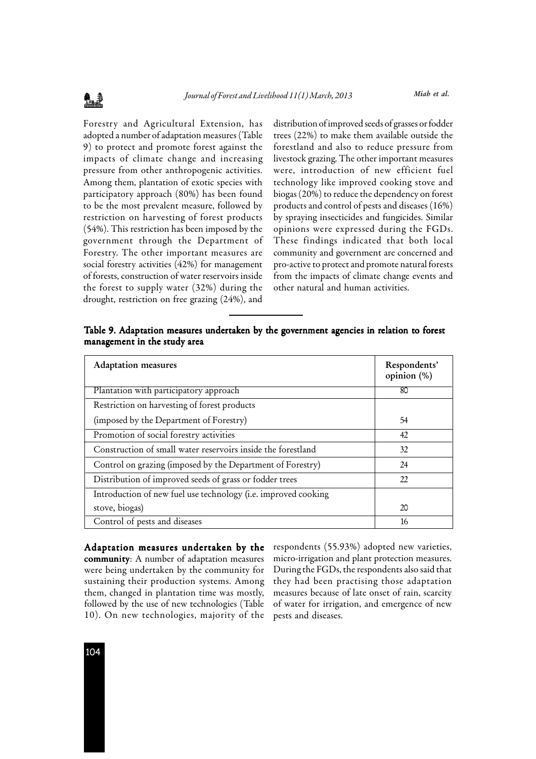Forestry and Agricultural Extension, has adopted a number of adaptation measures (Table 9) to protect and promote forest against the impacts of climate change and increasing pressure from other anthropogenic activities. Among them, plantation of exotic species with participatory approach (80%) has been found to be the most prevalent measure, followed by restriction on harvesting of forest products (54%). This restriction has been imposed by the government through the Department of Forestry. The other important measures are social forestry activities (42%) for management of forests, construction of water reservoirs inside the forest to supply water (32%) during the drought, restriction on free grazing (24%), and

乳盏

distribution of improved seeds of grasses or fodder trees (22%) to make them available outside the forestland and also to reduce pressure from livestock grazing. The other important measures were, introduction of new efficient fuel technology like improved cooking stove and biogas (20%) to reduce the dependency on forest products and control of pests and diseases (16%) by spraying insecticides and fungicides. Similar opinions were expressed during the FGDs. These findings indicated that both local community and government are concerned and pro-active to protect and promote natural forests from the impacts of climate change events and other natural and human activities.

Table 9. Adaptation measures undertaken by the government agencies in relation to forest management in the study area

| <b>Adaptation measures</b>                                     | Respondents'<br>opinion (%) |
|----------------------------------------------------------------|-----------------------------|
| Plantation with participatory approach                         | 80                          |
| Restriction on harvesting of forest products                   |                             |
| (imposed by the Department of Forestry)                        | 54                          |
| Promotion of social forestry activities                        | 42                          |
| Construction of small water reservoirs inside the forestland   | 32                          |
| Control on grazing (imposed by the Department of Forestry)     | 24                          |
| Distribution of improved seeds of grass or fodder trees        | 22                          |
| Introduction of new fuel use technology (i.e. improved cooking |                             |
| stove, biogas)                                                 | 20                          |
| Control of pests and diseases                                  | 16                          |

Adaptation measures undertaken by the community: A number of adaptation measures were being undertaken by the community for sustaining their production systems. Among them, changed in plantation time was mostly, followed by the use of new technologies (Table 10). On new technologies, majority of the

respondents (55.93%) adopted new varieties, micro-irrigation and plant protection measures. During the FGDs, the respondents also said that they had been practising those adaptation measures because of late onset of rain, scarcity of water for irrigation, and emergence of new pests and diseases.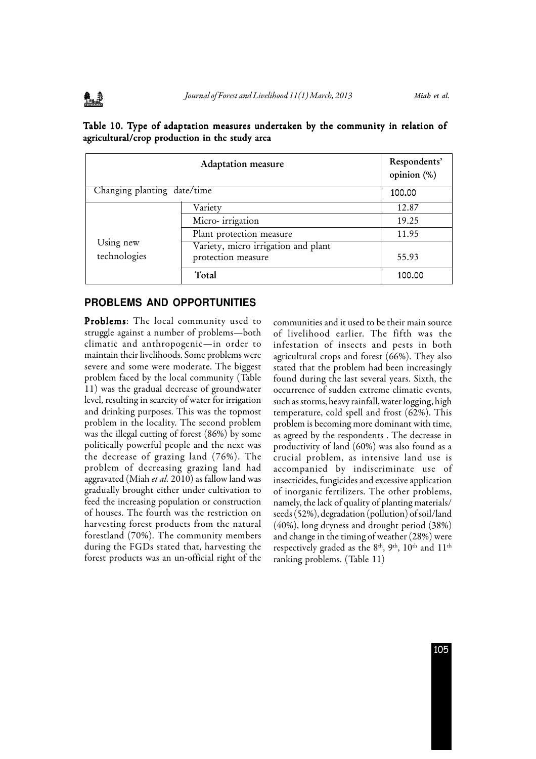| <b>Adaptation</b> measure   |                                                           | Respondents'<br>opinion (%) |
|-----------------------------|-----------------------------------------------------------|-----------------------------|
| Changing planting date/time |                                                           | 100.00                      |
|                             | Variety                                                   | 12.87                       |
|                             | Micro-irrigation                                          | 19.25                       |
|                             | Plant protection measure                                  | 11.95                       |
| Using new<br>technologies   | Variety, micro irrigation and plant<br>protection measure | 55.93                       |
|                             | Total                                                     | 100.00                      |

Table 10. Type of adaptation measures undertaken by the community in relation of agricultural/crop production in the study area

#### **PROBLEMS AND OPPORTUNITIES**

Problems: The local community used to struggle against a number of problems—both climatic and anthropogenic—in order to maintain their livelihoods. Some problems were severe and some were moderate. The biggest problem faced by the local community (Table 11) was the gradual decrease of groundwater level, resulting in scarcity of water for irrigation and drinking purposes. This was the topmost problem in the locality. The second problem was the illegal cutting of forest (86%) by some politically powerful people and the next was the decrease of grazing land (76%). The problem of decreasing grazing land had aggravated (Miah et al. 2010) as fallow land was gradually brought either under cultivation to feed the increasing population or construction of houses. The fourth was the restriction on harvesting forest products from the natural forestland (70%). The community members during the FGDs stated that, harvesting the forest products was an un-official right of the

communities and it used to be their main source of livelihood earlier. The fifth was the infestation of insects and pests in both agricultural crops and forest (66%). They also stated that the problem had been increasingly found during the last several years. Sixth, the occurrence of sudden extreme climatic events, such as storms, heavy rainfall, water logging, high temperature, cold spell and frost (62%). This problem is becoming more dominant with time, as agreed by the respondents . The decrease in productivity of land (60%) was also found as a crucial problem, as intensive land use is accompanied by indiscriminate use of insecticides, fungicides and excessive application of inorganic fertilizers. The other problems, namely, the lack of quality of planting materials/ seeds (52%), degradation (pollution) of soil/land (40%), long dryness and drought period (38%) and change in the timing of weather (28%) were respectively graded as the  $8<sup>th</sup>$ ,  $9<sup>th</sup>$ ,  $10<sup>th</sup>$  and  $11<sup>th</sup>$ ranking problems. (Table 11)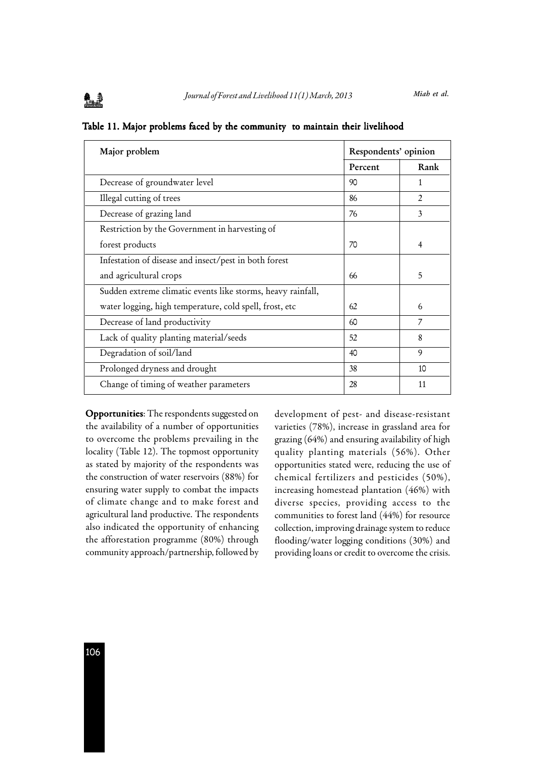| Major problem                                               | Respondents' opinion |                |
|-------------------------------------------------------------|----------------------|----------------|
|                                                             | Percent              | Rank           |
| Decrease of groundwater level                               | 90                   | 1              |
| Illegal cutting of trees                                    | 86                   | $\mathfrak{D}$ |
| Decrease of grazing land                                    | 76                   | 3              |
| Restriction by the Government in harvesting of              |                      |                |
| forest products                                             | 70                   | $\overline{4}$ |
| Infestation of disease and insect/pest in both forest       |                      |                |
| and agricultural crops                                      | 66                   | 5              |
| Sudden extreme climatic events like storms, heavy rainfall, |                      |                |
| water logging, high temperature, cold spell, frost, etc     | 62                   | 6              |
| Decrease of land productivity                               | 60                   | $\overline{7}$ |
| Lack of quality planting material/seeds                     | 52                   | 8              |
| Degradation of soil/land                                    | 40                   | 9              |
| Prolonged dryness and drought                               | 38                   | 10             |
| Change of timing of weather parameters                      | 28                   | 11             |

Table 11. Major problems faced by the community to maintain their livelihood

Opportunities: The respondents suggested on the availability of a number of opportunities to overcome the problems prevailing in the locality (Table 12). The topmost opportunity as stated by majority of the respondents was the construction of water reservoirs (88%) for ensuring water supply to combat the impacts of climate change and to make forest and agricultural land productive. The respondents also indicated the opportunity of enhancing the afforestation programme (80%) through community approach/partnership, followed by development of pest- and disease-resistant varieties (78%), increase in grassland area for grazing (64%) and ensuring availability of high quality planting materials (56%). Other opportunities stated were, reducing the use of chemical fertilizers and pesticides (50%), increasing homestead plantation (46%) with diverse species, providing access to the communities to forest land (44%) for resource collection, improving drainage system to reduce flooding/water logging conditions (30%) and providing loans or credit to overcome the crisis.

106

4.3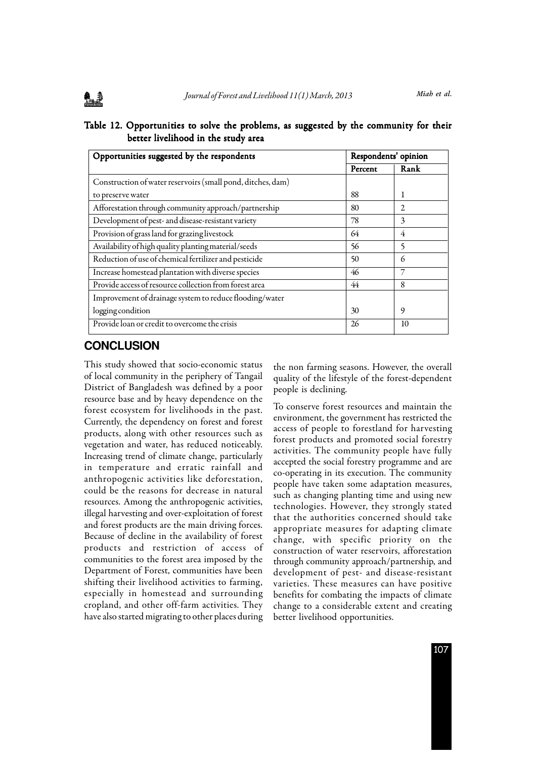|  | Table 12. Opportunities to solve the problems, as suggested by the community for their |  |  |  |  |  |
|--|----------------------------------------------------------------------------------------|--|--|--|--|--|
|  | better livelihood in the study area                                                    |  |  |  |  |  |

| Opportunities suggested by the respondents                  | Respondents' opinion |      |  |  |
|-------------------------------------------------------------|----------------------|------|--|--|
|                                                             | Percent              | Rank |  |  |
| Construction of water reservoirs (small pond, ditches, dam) |                      |      |  |  |
| to preserve water                                           | 88                   |      |  |  |
| Afforestation through community approach/partnership        | 80                   | 2    |  |  |
| Development of pest- and disease-resistant variety          | 78                   | 3    |  |  |
| Provision of grass land for grazing livestock               | 64                   | 4    |  |  |
| Availability of high quality planting material/seeds        | 56                   | 5    |  |  |
| Reduction of use of chemical fertilizer and pesticide       | 50                   | 6    |  |  |
| Increase homestead plantation with diverse species          | 46                   | 7    |  |  |
| Provide access of resource collection from forest area      | 44                   | 8    |  |  |
| Improvement of drainage system to reduce flooding/water     |                      |      |  |  |
| logging condition                                           | 30                   | 9    |  |  |
| Provide loan or credit to overcome the crisis               | 26                   | 10   |  |  |

#### **CONCLUSION**

This study showed that socio-economic status of local community in the periphery of Tangail District of Bangladesh was defined by a poor resource base and by heavy dependence on the forest ecosystem for livelihoods in the past. Currently, the dependency on forest and forest products, along with other resources such as vegetation and water, has reduced noticeably. Increasing trend of climate change, particularly in temperature and erratic rainfall and anthropogenic activities like deforestation, could be the reasons for decrease in natural resources. Among the anthropogenic activities, illegal harvesting and over-exploitation of forest and forest products are the main driving forces. Because of decline in the availability of forest products and restriction of access of communities to the forest area imposed by the Department of Forest, communities have been shifting their livelihood activities to farming, especially in homestead and surrounding cropland, and other off-farm activities. They have also started migrating to other places during

the non farming seasons. However, the overall quality of the lifestyle of the forest-dependent people is declining.

To conserve forest resources and maintain the environment, the government has restricted the access of people to forestland for harvesting forest products and promoted social forestry activities. The community people have fully accepted the social forestry programme and are co-operating in its execution. The community people have taken some adaptation measures, such as changing planting time and using new technologies. However, they strongly stated that the authorities concerned should take appropriate measures for adapting climate change, with specific priority on the construction of water reservoirs, afforestation through community approach/partnership, and development of pest- and disease-resistant varieties. These measures can have positive benefits for combating the impacts of climate change to a considerable extent and creating better livelihood opportunities.